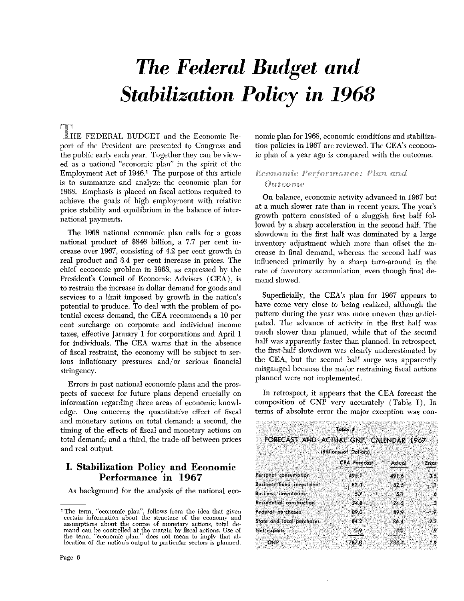# *The Federal Budget and Stabilization Policy in 1968*

LHE FEDERAL BUDGET and the Economic Report of the President are presented to Congress and the public early each year. Together they can be viewed as a national "economic plan" in the spirit of the Employment Act of  $1946<sup>1</sup>$ . The purpose of this article is to summarize and analyze the economic plan for 1968. Emphasis is placed on fiscal actions required to achieve the goals of high employment with relative price stability and equilibrium in the balance of international payments.

The 1968 national economic plan calls for a gross national product of \$846 billion, a 7.7 per cent increase over 1967, consisting of 4.2 per cent growth in real product and 3.4 per cent increase in prices. The chief economic problem in 1968, as expressed by the President's Council of Economic Advisers (CEA), is to restrain the increase in dollar demand for goods and services to a limit imposed by growth in the nation's potential to produce. To deal with the problem of potential excess demand, the CEA recommends a 10 per cent surcharge on corporate and individual income taxes, effective January <sup>1</sup> for corporations and April <sup>1</sup> for individuals. The CEA warns that in the absence of fiscal restraint, the economy will be subject to serious inflationary pressures and/or serious financial stringency.

Errors in past national economic plans and the prospects of success for future plans depend crucially on information regarding three areas of economic knowledge. One concerns the quantitative effect of fiscal and monetary actions on total demand; a second, the timing of the effects of fiscal and monetary actions on total demand; and a third, the trade.off between prices and real output.

## **I. Stabilization Policy and Economic Performance in 1967**

As background for the analysis of the national eco-

nomic plan for 1968, economic conditions and stabilization policies in 1967 are reviewed. The CEA's economic plan of a year ago is compared with the outcome.

### Economic Performance: Plan and **Outcome**

On balance, economic activity advanced in 1967 but at a much slower rate than in recent years. The year's growth pattern consisted of a sluggish first half fol. lowed by a sharp acceleration in the second half. The slowdown in the first half was dominated by a large inventory adjustment which more than offset the increase in final demand, whereas the second half was influenced primarily by a sharp turn-around in the rate of inventory accumulation, even though final demand slowed.

Superficially, the CEA's plan for 1967 appears to have come very close to being realized, although the pattern during the year was more uneven than anticipated. The advance of activity in the first half was much slower than planned, while that of the second half was apparently faster than planned. In retrospect, the first-half slowdown was clearly underestimated by the CEA, but the second half surge was apparently misgauged because the major restraining fiscal actions planned were not implemented.

In retrospect, it appears that the CEA forecast the composition of GNP very accurately (Table I). In terms of absolute error the major exception was con-

| FORECAST AND ACTUAL GNP, CALENDAR 1967 | Table 1               |        |           |
|----------------------------------------|-----------------------|--------|-----------|
|                                        | (Billions of Dollars) |        |           |
|                                        | <b>CEA Forecast</b>   | Actual | Error     |
| Personal consumption                   | 495.1                 | 491.6  | 3.5       |
| <b>Business fixed investment</b>       | 82.3                  | 82.5   | $-2$      |
| Business inventories                   | 5.7                   | 5.1    | -6        |
| Residential construction               | 24.8                  | 24.5   | ್ಷ3       |
| Federal purchases                      | 89.0                  | 89.9   | - 9       |
| State and local purchases              | 84.2                  | 86.4   | $-2.2$    |
| Net exports                            | 59                    | 50.    | $\bullet$ |
| <b>GNP</b>                             | 787.0                 | 785.1  | 19        |

<sup>&</sup>lt;sup>1</sup>The term, "economic plan", follows from the idea that given certain information about the structure of the economy and assumptions about the course of monetary actions, total demand can be controlled at the margin by fiscal actions. Use of the term, "economic plan," does not mean to imply that a1~ location of the nation's output to particular sectors is planned.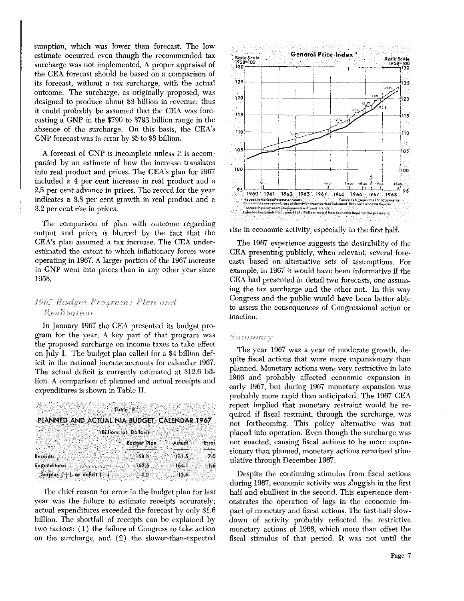sumption, which was lower than forecast. The low estimate occurred even though the recommended tax surcharge was not implemented. A proper appraisal of the CEA forecast should be based on a comparison of its forecast, without a tax surcharge, with the actual outcome. The surcharge, as originally proposed, was designed to produce about \$3 billion in revenue; thus it could probably be assumed that the CEA was forecasting a GNP in the \$790 to \$793 billion range in the absence of the surcharge. On this basis, the CEA's GNP forecast was inerror by \$5 to \$8 billion.

A forecast of GNP is incomplete unless it is accompanied by an estimate of how the increase translates into real product and prices. The CEA's plan for 1967 included a 4 per cent increase in real product and a 2.5 per cent advance in prices. The record for the year indicates a 3.8 per cent growth in real product and a 3.2 per cent rise in prices.

The comparison of plan with outcome regarding output and prices is blurred by the fact that the CEA's plan assumed a tax increase. The CEA underestimated the extent to which inflationary forces were operating in 1967. A larger portion of the 1967 increase in GNP went into prices than in any other year since 1958.

#### tdget Program: Plan and Realization

In January 1967 the CEA presented its budget program for the year. A key part of that program was the proposed surcharge on income taxes to take effect on July 1, The budget plan called for a \$4 billion deficit in the national income accounts for calendar 1967. The actual deficit is currently estimated at \$12.6 billion. A comparison of planned and actual receipts and expenditures is shown in Table II,

|                                              | Table II                                                  |                                      |       |
|----------------------------------------------|-----------------------------------------------------------|--------------------------------------|-------|
| PLANNED AND ACTUAL NIA BUDGET, CALENDAR 1967 |                                                           |                                      |       |
|                                              | (Billions of Dollars)                                     |                                      |       |
|                                              | <b>Budget Plan</b>                                        | Actual                               | Error |
|                                              | فتحتجمه وترافيا موتين ويتراوبون والمتوسط والمتوا<br>158.5 | najkana menyempatkan hidupa<br>151.5 | 70    |
|                                              | 162.5                                                     | 164.1                                | - 1.6 |
| Surplus $\{\pm\}$ , or deficit $\{-\}$       | $-4.0$                                                    | $-12.6$                              |       |

The chief reason for error in the budget plan for last year was the failure to estimate receipts accurately; actual expenditures exceeded the forecast by only \$1.6 billion. The shortfall of receipts can be explained by two factors: (1) the failure of Congress to take action on the surcharge, and (2) the slower-than-expected



rise in economic activity, especially in the first half.

The 1967 experience suggests the desirability of the CEA presenting publicly, when relevant, several forecasts based on alternative sets of assumptions. For example, in 1967 it would have been informative if the CEA had presented in detail two forecasts, one assuming the tax surcharge and the other not. In this way Congress and the public would have been better able to assess the consequences of Congressional action or inaction.

#### Summary

The year 1967 was a year of moderate growth, despite fiscal actions that were more expansionary than planned. Monetary actions were very restrictive in late 1966 and probably affected economic expansion in early 1967, but during 1967 monetary expansion was probably more rapid than anticipated. The 1967 CEA report implied that monetary restraint would be required if fiscal restraint, through the surcharge, was not forthcoming. This policy alternative was not placed into operation. Even though the surcharge was not enacted, causing fiscal actions to be more expansionary than planned, monetary actions remained stimulative through December 1967.

Despite the continuing stimulus from fiscal actions during 1967, economic activity was sluggish in the first half and ebullient in the second. This experience demonstrates the operation of lags in the economic impact of monetary and fiscal actions. The first-half slowdown of activity probably reflected the restrictive monetary actions of 1966, which more than offset the fiscal stimulus of that period. It was not until the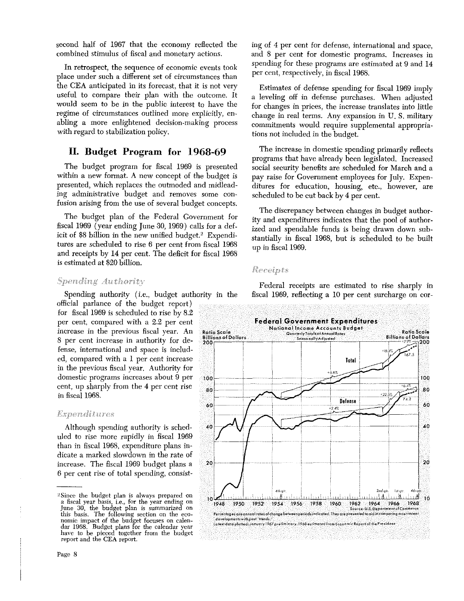second half of 1967 that the economy reflected the combined stimulus of fiscal and monetary actions.

In retrospect, the sequence of economic events took place under such a different set of circumstances than the CEA anticipated in its forecast, that it is not very useful to compare their plan with the outcome. It would seem to be in the public interest to have the regime of circumstances outlined more explicitly, enabling a more enlightened decision-making process with regard to stabilization policy.

# **II. Budget Program for 1968-69**

The budget program for fiscal 1969 is presented within a new format. A new concept of the budget is presented, which replaces the outmoded and midleading administrative budget and removes some confusion arising from the use of several budget concepts.

The budget plan of the Federal Government for fiscal 1969 (year ending June 30, 1969) calls for a deficit of \$8 billion in the new unified budget.2 Expenditures are scheduled to rise 6 per cent from fiscal 1968 and receipts by 14 per cent. The deficit for fiscal 1968 is estimated at \$20 billion.

#### Spending Authority

Spending authority (i.e., budget authority in the official parlance of the budget report) for fiscal 1969 is scheduled to rise by 8.2 per cent, compared with a 2.2 per cent increase in the previous fiscal year. An <sup>8</sup> per cent increase in authority for defense, international and space is included, compared with a <sup>1</sup> per cent increase in the previous fiscal year. Authority for domestic programs increases about 9 per cent, up sharply from the 4 per cent rise in fiscal 1968.

#### *Expenditures*

Although spending authority is scheduled to rise more rapidly in fiscal 1969 than in fiscal 1968, expenditure plans indicate a marked slowdown in the rate of increase. The fiscal 1969 budget plans a 6 per cent rise of total spending, consisting of 4 per cent for defense, international and space, and 8 per cent for domestic programs. Increases in spending for these programs are estimated at 9 and 14 per cent, respectively, in fiscal 1968.

Estimates of defense spending for fiscal 1969 imply a leveling off in defense purchases. When adjusted for changes in prices, the increase translates into little change in real terms. Any expansion in U. S. military commitments would require supplemental appropriations not included in the budget.

The increase in domestic spending primarily reflects programs that have already been legislated. Increased social security benefits are scheduled for March and a pay raise for Government employees for July. Expenditures for education, housing, etc., however, are scheduled to be cut back by 4 per cent.

The discrepancy between changes in budget authority and expenditures indicates that the pool of authorized and spendable funds is being drawn down substantially in fiscal 1988, but is scheduled to be built up in fiscal 1969.

#### Receipts

Federal receipts are estimated to rise sharply in fiscal 1969, reflecting a 10 per cent surcharge on cor-



<sup>&</sup>lt;sup>2</sup>Since the budget plan is always prepared on a fiscal year basis, i.e., for the year ending on June 30, the budget plan is summarized on this basis. The following section on the economic impact of the budget focuses on calendar 1968. Budget plans for the calendar year have to be pieced together from the budget report and the CEA report.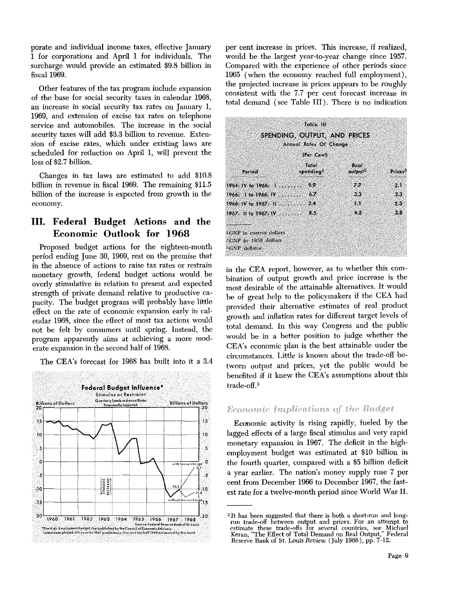porate and individual income taxes, effective January <sup>1</sup> for corporations and April 1 for individuals. The surcharge would provide an estimated \$9.8 billion in fiscal 1969.

Other features of the tax program include expansion of the base for social security taxes in calendar 1968, an increase in social security tax rates on January 1, 1989, and extension of excise tax rates on telephone service and automobiles. The increase in the social security taxes will add \$3.3 billion to revenue. Extension of excise rates, which under existing laws are scheduled for reduction on April 1, will prevent the loss of \$2.7 billion.

Changes in tax laws are estimated to add \$10.8 billion in revenue in fiscal 1969. The remaining \$11.5 billion of the increase is expected from growth in the economy.

# **III. Federal Budget Actions and the Economic Outlook for 1968**

Proposed budget actions for the eighteen-month period ending June 30, 1989, rest on the premise that in the absence of actions to raise tax rates or restrain monetary growth, federal budget actions would be overly stimulative in relation to present and expected strength **of** private demand relative to productive capacity. The budget program will probably have little effect on the rate of economic expansion early in calendar 1968, since the effect of most tax actions would not be felt by consumers until spring. Instead, the program apparently aims at achieving a more moderate expansion in the second half of 1968.

The CEA's forecast for 1968 has built into it a 3,4



per cent increase in prices. This increase, if realized, would be the largest year-to-year change since 1957. Compared with the experience of other periods since 1965 (when the economy reached full employment), the projected increase in prices appears to be roughly consistent with the 7.7 per cent forecast increase in total demand (see Table III). There is no indication

| Toble 111<br>SPENDING, OUTPUT, AND PRICES<br>Annual Rates Of Change<br>(Per Cent)     |     |     |      |  |  |
|---------------------------------------------------------------------------------------|-----|-----|------|--|--|
|                                                                                       |     |     |      |  |  |
| 1964:1966:1                                                                           | o o | 7.7 | Δł   |  |  |
| 1966: 1 to 1966: 19                                                                   | 67  | 33  | ЗS.  |  |  |
| 1966: IV to 1967: $\mathbb{R}$                                                        | 34  | T.  | 2.36 |  |  |
| $1967.$ II to $1967.$ IV                                                              | 85  | 4.5 | 3.8  |  |  |
| <sup>1</sup> GNP in current dollars<br>$2$ GNF in 1958 dollars<br><b>CNP</b> deflator |     |     |      |  |  |

in the CEA report, however, as to whether this combination of output growth and price increase is the most desirable of the attainable alternatives. It would be of great help to the policymakers if the CEA had provided their alternative estimates of real product growth and inflation rates for different target levels of total demand. In this way Congress and the public would be in a better position to judge whether the CEA's economic plan is the best attainable under the circumstances. Little is known about the trade-off between output and prices, yet the public would be benefited if it knew the CEA's assumptions about this  $_{{\rm trade-off}}$ <sup>3</sup>

#### Economic Implications of the Budget

Economic activity is rising rapidly, fueled by the lagged effects of a large fiscal stimulus and very rapid monetary expansion in 1967. The deficit in the highemployment budget was estimated at \$10 billion in the fourth quarter, compared with a \$5 billion deficit a year earlier. The nation's money supply rose 7 per cent from December 1966 to December 1967, the fastest rate for a twelve-month period since World War II.

<sup>31</sup>t has been suggested that there is both a short-run and long**tim** trade-off between output and prices. For an attempt to estimate these trade-offs for several countries, see Michael Keran, "The Effect of Total Demand on Real Output," Federal Reserve Bank of St. Louis *Review* (July 1966), pp. 7-12.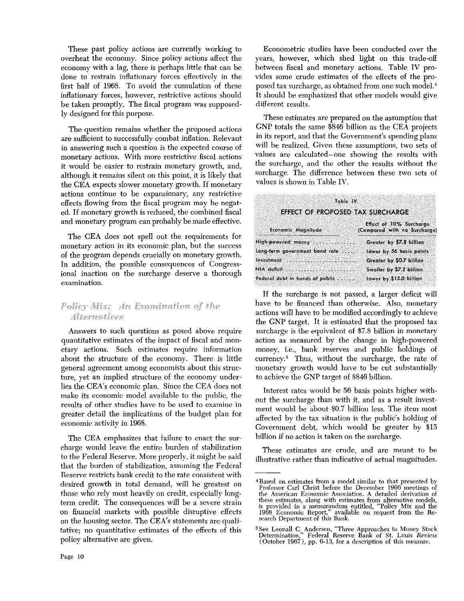These past policy actions are currently working to overheat the economy. Since policy actions affect the economy with a lag, there is perhaps little that can be done to restrain inflationary forces effectively in the first half of 1968. To avoid the cumulation of these inflationary forces, however, restrictive actions should be taken promptly. The fiscal program was supposedly designed for this purpose.

The question remains whether the proposed actions are sufficient to successfully combat inflation. Relevant in answering such a question is the expected course of monetary actions. With more restrictive fiscal actions it would be easier to restrain monetary growth, and, although it remains silent on this point, it is likely that the CEA expects slower monetary growth. If monetary actions continue to be expansionary, any restrictive effects flowing from the fiscal program may be negated. If monetary growth is reduced, the combined fiscal and monetary program can probably be made effective.

The CEA does not spell out the requirements for monetary action in its economic plan, but the success of the program depends crucially on monetary growth. In addition, the possible consequences of Congressional inaction on the surcharge deserve a thorough examination.

# Policy Mix: An Examination of the *Alternatives*

Answers to such questions as posed above require quantitative estimates of the impact of fiscal and monetary actions. Such estimates require information about the structure of the economy. There is little general agreement among economists about this structure, yet an implied structure of the economy underlies the CEA's economic plan. Since the CEA does not make its economic model available to the public, the results of other studies have to be used to examine in greater detail the implications of the budget plan for economic activity in 1968.

The CEA emphasizes that failure to enact the surcharge would leave the entire burden of stabilization to the Federal Reserve. More properly, it might be said that the burden of stabilization, assuming the Federal Reserve restricts bank credit to the rate consistent with desired growth in total demand, will be greatest on those who rely most heavily on credit, especially longterm credit. The consequences will be a severe strain on financial markets with possible disruptive effects on the housing sector. The CEA's statements are qualitative; no quantitative estimates of the effects of this policy alternative are given.

Econometric studies have been conducted over the years, however, which shed light on this trade-off between fiscal and monetary actions. Table IV provides some crude estimates of the effects of the proposed tax surcharge, as obtained from one such model.4 It should be emphasized that other models would give different results.

These estimates are prepared on the assumption that GNP totals the same \$846 billion as the CEA projects in its report, and that the Government's spending plans will be realized. Given these assumptions, two sets of values are calculated—one showing the results with the surcharge, and the other the results without the surcharge. The difference between these two sets of values is shown in Table IV.

| Table IV                                   |                                                         |
|--------------------------------------------|---------------------------------------------------------|
| EFFECT OF PROPOSED TAX SURCHARGE           |                                                         |
| Economic Magnitude                         | Effect of 10% Surcharge<br>(Compared with no Surcharge) |
| High-powered money                         | Greater by \$7.8 billion                                |
| Long-term government bond rate             | Lower by 56 basis points                                |
| Investment and a state of the state of the | Greater by \$0.7 billion                                |
| NIA deficit                                | Smaller by \$7.2 billion                                |
| Federal debt in hands of public            | Lower by $$15.0$ billion                                |

If the surcharge is not passed, a larger deficit will have to be financed than otherwise. Also, monetary actions will have to be modified accordingly to achieve the GNP target. It is estimated that the proposed tax surcharge is the equivalent of \$7.8 billion in monetary action as measured by the change in high-powered money, i.e., bank reserves and public holdings of currency.<sup>5</sup> Thus, without the surcharge, the rate of monetary growth would have to be cut substantially to achieve the GNP target of \$846 billion.

Interest rates would be 56 basis points higher without the surcharge than with it, and as a result investment would be about \$0.7 billion less. The item most affected by the tax situation is the public's holding of Government debt, which would be greater by \$15 billion if no action is taken on the surcharge.

These estimates are crude, and are meant to be illustrative rather than indicative of actual magnitudes.

<sup>4</sup> Based on estimates from <sup>a</sup> model similar to that presented by Professor Carl Christ before the December <sup>1966</sup> meetings of the American Economic Association. A detailed derivation of<br>these estimates, along with estimates from alternative models,<br>is provided in a memorandum entitled, "Policy Mix and the<br>1968 Economic Report," available on reque search Department of this Bank.

<sup>1</sup> See Leonall C. Andersen, "Three Approaches to Money Stock Determination," Federal Reserve Bank of St. Louis *Review* (October 1967), pp. 6-13, for a description of this measure.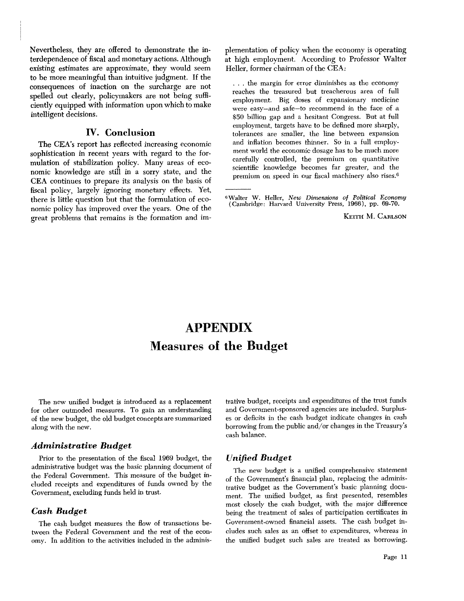Nevertheless, they are offered to demonstrate the interdependence of fiscal and monetary actions. Although existing estimates are approximate, they would seem to be more meaningful than intuitive judgment. If the consequences of inaction on the surcharge are not spelled out clearly, policymakers are not being sufficiently equipped with information upon which tomake intelligent decisions.

#### **IV. Conclusion**

The CEA's report has reflected increasing economic sophistication in recent years with regard to the formulation of stabilization policy. Many areas of economic knowledge are still in <sup>a</sup> sorry state, and the CEA continues to prepare its analysis on the basis of fiscal policy, largely ignoring monetary effects. Yet, there is little question but that the formulation of economic policy has improved over the years. One of the great problems that remains is the formation and implementation of policy when the economy is operating at high employment. According to Professor Walter Heller, former chairman of the CEA:

 $\ldots$  the margin for error diminishes as the economy reaches the treasured but treacherous area of full employment. Big doses of expansionary medicine were easy—and safe—to recommend in the face of a \$50 billion gap and a hesitant Congress. But at full employment, targets have to be defined more sharply, tolerances are smaller, the line between expansion and inflation becomes thinner. So in a full employment world the economic dosage has to be much more carefully controlled, the premium on quantitative scientific knowledge becomes far greater, and the premium on speed in our fiscal machinery also rises.6

**<sup>6</sup>** Walter W. Heller, *New Dimensions of Political Economy* (Cambridgez Harvard University Press, 1966), pp. 69-70.

KEITH M. CARLSON

# **APPENDIX Measures of the Budget**

The new unified budget is introduced as a replacement for other outmoded measures. To gain an understanding of the new budget, the old budget concepts are summarized along with the new.

#### *Administrative Budget*

Prior to the presentation of the fiscal 1969 budget, the administrative budget was the basic planning document of the Federal Government. This measure of the budget included receipts and expenditures of funds owned by the Government, excluding funds held in trust.

#### *Cash Budget*

The cash budget measures the flow of transactions between the Federal Government and the rest of the economy. In addition to the activities included in the administrative budget, receipts and expenditures of the trust funds and Government-sponsored agencies are included. Surpluses or deficits in the cash budget indicate changes in cash borrowing from the public and/or changes in the Treasury's cash balance.

#### *Unified Budget*

The new budget is a unified comprehensive statement of the Government's financial plan, replacing the administrative budget as the Government's basic planning document. The unified budget, as first presented, resembles most closely the cash budget, with the major difference being the treatment of sales of participation certificates in Government-owned financial assets. The cash budget includes such sales as an offset to expenditures, whereas in the unified budget such sales are treated as borrowing.